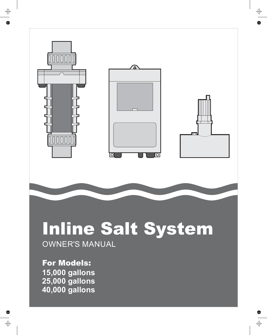

# Inline Salt System

OWNER'S MANUAL

For Models: **15,000 gallons 25,000 gallons 40,000 gallons**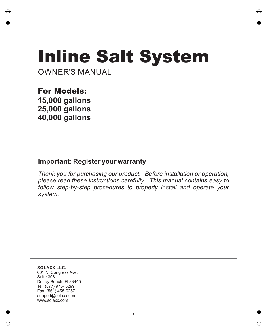# Inline Salt System

OWNER'S MANUAL

For Models: **15,000 gallons 25,000 gallons 40,000 gallons**

#### **Important: Register your warranty**

*Thank you for purchasing our product. Before installation or operation, please read these instructions carefully. This manual contains easy to follow step-by-step procedures to properly install and operate your system.*

**SOLAXX LLC.** 601 N. Congress Ave. Suite 308 Delray Beach, Fl 33445 Tel: (877) 976- 5299 Fax: (561) 455-0257 support@solaxx.com www.solaxx.com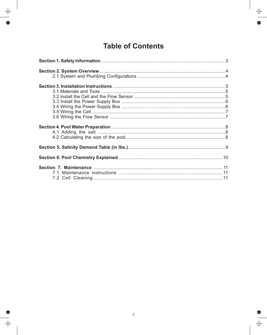### **Table of Contents**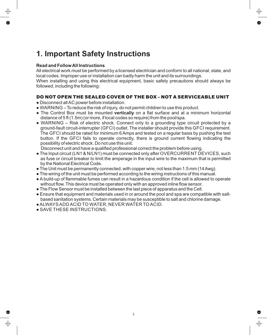### **1. Important Safety Instructions**

#### **Read and Follow All Instructions**

All electrical work must be performed by a licensed electrician and conform to all national, state, and local codes. Improper use or installation can badly harm the unit and its surroundings.

When installing and using this electrical equipment, basic safety precautions should always be followed, including the following:

#### DO NOT OPEN THE SEALED COVER OF THE BOX – NOT A SERVICEABLE UNIT

- Disconnect all AC power before installation.
- WARNING To reduce the risk of injury, do not permit children to use this product.
- The Control Box must be mounted **vertically** on a flat surface and at a minimum horizontal distance of 5 ft (1.5m) (or more, if local codes so require) from the pool/spa.
- WARNING Risk of electric shock. Connect only to a grounding type circuit protected by a ground-fault circuit-interrupter (GFCI) outlet. The installer should provide this GFCI requirement. The GFCI should be rated for minimum 6 Amps and tested on a regular basis by pushing the test button. If the GFCI fails to operate correctly, there is ground current flowing indicating the possibility of electric shock. Do not use this unit.
- Disconnect unit and have a qualified professional correct the problem before using.
- The Input circuit (LN1 & N/LN1) must be connected only after OVERCURRENT DEVICES, such as fuse or circuit breaker to limit the amperage in the input wire to the maximum that is permitted by the National Electrical Code.
- The Unit must be permanently connected, with copper wire, not less than 1.5 mm (14 Awg).
- The wiring of the unit must be performed according to the wiring instructions of this manual.
- A build-up of flammable fumes can result in a hazardous condition if the cell is allowed to operate without flow. This device must be operated only with an approved inline flow sensor.
- The Flow Sensor must be installed between the last piece of apparatus and the Cell.
- Ensure that equipment and materials used in or around the pool and spa are compatible with saltbased sanitation systems. Certain materials may be susceptible to salt and chlorine damage.
- ALWAYS ADD ACID TO WATER, NEVER WATER TO ACID.
- SAVE THESE INSTRUCTIONS.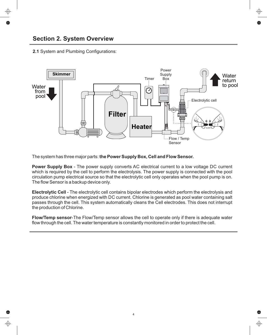**2.1** System and Plumbing Configurations:



The system has three major parts: **the Power Supply Box, Cell and Flow Sensor.** 

**Power Supply Box** - The power supply converts AC electrical current to a low voltage DC current which is required by the cell to perform the electrolysis. The power supply is connected with the pool circulation pump electrical source so that the electrolytic cell only operates when the pool pump is on. The flow Sensor is a backup device only.

**Electrolytic Cell** - The electrolytic cell contains bipolar electrodes which perform the electrolysis and produce chlorine when energized with DC current. Chlorine is generated as pool water containing salt passes through the cell. This system automatically cleans the Cell electrodes. This does not interrupt the production of Chlorine.

**Flow/Temp sensor**-The Flow/Temp sensor allows the cell to operate only if there is adequate water flow through the cell. The water temperature is constantly monitored in order to protect the cell.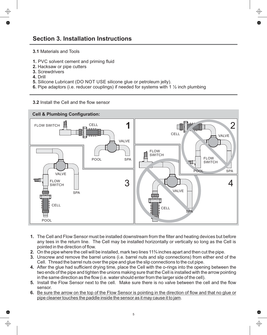#### **Section 3. Installation Instructions**

- **3.1** Materials and Tools
- **1.** PVC solvent cement and priming fluid
- **2.** Hacksaw or pipe cutters
- **3.** Screwdrivers
- **4.** Drill
- **5.** Silicone Lubricant (DO NOT USE silicone glue or petroleum jelly).
- **6.** Pipe adaptors (i.e. reducer couplings) if needed for systems with 1 ½ inch plumbing

**3.2** Install the Cell and the flow sensor



- **1.** The Cell and Flow Sensor must be installed downstream from the filter and heating devices but before any tees in the return line. The Cell may be installed horizontally or vertically so long as the Cell is pointed in the direction of flow.
- **2.** On the pipe where the cell will be installed, mark two lines 11<sup>3</sup>/4 inches apart and then cut the pipe.
- **3.** Unscrew and remove the barrel unions (i.e. barrel nuts and slip connections) from either end of the Cell. Thread the barrel nuts over the pipe and glue the slip connections to the cut pipe.
- **4.** After the glue had sufficient drying time, place the Cell with the o-rings into the opening between the two ends of the pipe and tighten the unions making sure that the Cell is installed with the arrow pointing in the same direction as the flow (i.e. water should enter from the larger side of the cell).
- **5.** Install the Flow Sensor next to the cell. Make sure there is no valve between the cell and the flow sensor.
- **6.** Be sure the arrow on the top of the Flow Sensor is pointing in the direction of flow and that no glue or pipe cleaner touches the paddle inside the sensor as it may cause it to jam.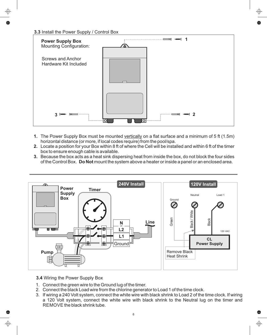

- **1.** The Power Supply Box must be mounted vertically on a flat surface and a minimum of 5 ft (1.5m) horizontal distance (or more, if local codes require) from the pool/spa.
- **2.** Locate a position for your Box within 8 ft of where the Cell will be installed and within 6 ft of the timer box to ensure enough cable is available.
- **3.** Because the box acts as a heat sink dispersing heat from inside the box, do not block the four sides of the Control Box. **Do Not** mount the system above a heater or inside a panel or an enclosed area.



- **3.4** Wiring the Power Supply Box
- 1. Connect the green wire to the Ground lug of the timer.
- 2. Connect the black Load wire from the chlorine generator to Load 1 of the time clock.
- 3. If wiring a 240 Volt system, connect the white wire with black shrink to Load 2 of the time clock. If wiring a 120 Volt system, connect the white wire with black shrink to the Neutral lug on the timer and REMOVE the black shrink tube.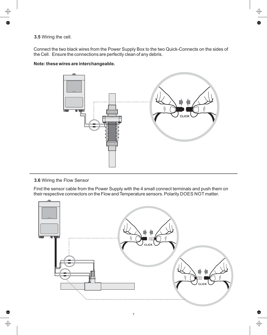**3.5** Wiring the cell.

Connect the two black wires from the Power Supply Box to the two Quick-Connects on the sides of the Cell. Ensure the connections are perfectly clean of any debris.





#### **3.6** Wiring the Flow Sensor

Find the sensor cable from the Power Supply with the 4 small connect terminals and push them on their respective connectors on the Flow and Temperature sensors. Polarity DOES NOT matter.

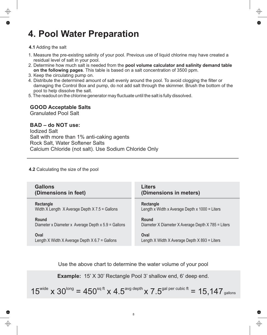## **4. Pool Water Preparation**

#### **4.1** Adding the salt

- 1. Measure the pre-existing salinity of your pool. Previous use of liquid chlorine may have created a residual level of salt in your pool.
- 2. Determine how much salt is needed from the **pool volume calculator and salinity demand table on the following pages**. This table is based on a salt concentration of 3500 ppm.
- 3. Keep the circulating pump on.
- 4. Distribute the determined amount of salt evenly around the pool. To avoid clogging the filter or damaging the Control Box and pump, do not add salt through the skimmer. Brush the bottom of the pool to help dissolve the salt.
- 5. The readout on the chlorine generator may fluctuate until the salt is fully dissolved.

#### **GOOD Acceptable Salts**

Granulated Pool Salt

#### **BAD – do NOT use:**

Iodized Salt Salt with more than 1% anti-caking agents Rock Salt, Water Softener Salts Calcium Chloride (not salt). Use Sodium Chloride Only

#### **4.2** Calculating the size of the pool

| <b>Gallons</b>                                        | <b>Liters</b>                                      |  |  |  |  |
|-------------------------------------------------------|----------------------------------------------------|--|--|--|--|
| (Dimensions in feet)                                  | (Dimensions in meters)                             |  |  |  |  |
| <b>Rectangle</b>                                      | Rectangle                                          |  |  |  |  |
| Width X Length X Average Depth $X$ 7.5 = Gallons      | Length x Width x Average Depth x $1000 =$ Liters   |  |  |  |  |
| <b>Round</b>                                          | Round                                              |  |  |  |  |
| Diameter x Diameter x Average Depth x $5.9$ = Gallons | Diameter X Diameter X Average Depth X 785 = Liters |  |  |  |  |
| Oval                                                  | Oval                                               |  |  |  |  |
| Length X Width X Average Depth $X$ 6.7 = Gallons      | Length X Width X Average Depth $X$ 893 = Liters    |  |  |  |  |

Use the above chart to determine the water volume of your pool

**Example:** 15' X 30' Rectangle Pool 3' shallow end, 6' deep end.

 $15^{\text{wide}} \times 30^{\text{long}} = 450^{\text{sq ft}} \times 4.5^{\text{avg depth}} \times 7.5^{\text{gal per cubic ft}} = 15,147 \text{ gallons}$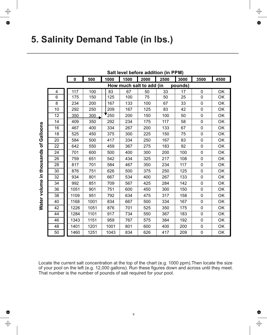## **5. Salinity Demand Table (in lbs.)**

|                                     | Salt level before addition (in PPM) |      |      |      |      |      |      |                  |           |  |  |
|-------------------------------------|-------------------------------------|------|------|------|------|------|------|------------------|-----------|--|--|
|                                     | $\mathbf 0$                         | 500  | 1000 | 1500 | 2000 | 2500 | 3000 | 3500             | 4500      |  |  |
| How much salt to add (in<br>pounds) |                                     |      |      |      |      |      |      |                  |           |  |  |
| 4                                   | 117                                 | 100  | 83   | 67   | 50   | 33   | 17   | 0                | OK        |  |  |
| $6\phantom{1}$                      | 175                                 | 150  | 125  | 100  | 75   | 50   | 25   | $\overline{0}$   | OK        |  |  |
| 8                                   | 234                                 | 200  | 167  | 133  | 100  | 67   | 33   | $\mathbf 0$      | OK        |  |  |
| 10                                  | 292                                 | 250  | 209  | 167  | 125  | 83   | 42   | 0                | OK        |  |  |
| 12                                  | 350                                 | 300  | 250  | 200  | 150  | 100  | 50   | 0                | OK        |  |  |
| 14                                  | 409                                 | 350  | 292  | 234  | 175  | 117  | 58   | $\boldsymbol{0}$ | OK        |  |  |
| 16                                  | 467                                 | 400  | 334  | 267  | 200  | 133  | 67   | $\boldsymbol{0}$ | OK        |  |  |
| 18                                  | 525                                 | 450  | 375  | 300  | 225  | 150  | 75   | $\mathbf 0$      | OK        |  |  |
| 20                                  | 584                                 | 500  | 417  | 334  | 250  | 167  | 83   | $\mathbf 0$      | OK        |  |  |
| 22                                  | 642                                 | 550  | 459  | 367  | 275  | 183  | 92   | $\mathbf 0$      | <b>OK</b> |  |  |
| 24                                  | 701                                 | 600  | 500  | 400  | 300  | 200  | 100  | $\mathbf 0$      | <b>OK</b> |  |  |
| 26                                  | 759                                 | 651  | 542  | 434  | 325  | 217  | 108  | $\mathbf 0$      | OK        |  |  |
| 28                                  | 817                                 | 701  | 584  | 467  | 350  | 234  | 117  | 0                | OK        |  |  |
| 30                                  | 876                                 | 751  | 626  | 500  | 375  | 250  | 125  | 0                | OK        |  |  |
| 32                                  | 934                                 | 801  | 667  | 534  | 400  | 267  | 133  | $\mathbf 0$      | OK        |  |  |
| 34                                  | 992                                 | 851  | 709  | 567  | 425  | 284  | 142  | $\mathbf 0$      | OK        |  |  |
| 36                                  | 1051                                | 901  | 751  | 600  | 450  | 300  | 150  | $\pmb{0}$        | OK        |  |  |
| 38                                  | 1109                                | 951  | 792  | 634  | 475  | 317  | 158  | $\boldsymbol{0}$ | OK        |  |  |
| 40                                  | 1168                                | 1001 | 834  | 667  | 500  | 334  | 167  | $\mathbf 0$      | OK        |  |  |
| 42                                  | 1226                                | 1051 | 876  | 701  | 525  | 350  | 175  | $\mathbf 0$      | <b>OK</b> |  |  |
| 44                                  | 1284                                | 1101 | 917  | 734  | 550  | 367  | 183  | $\mathbf 0$      | <b>OK</b> |  |  |
| 46                                  | 1343                                | 1151 | 959  | 767  | 575  | 384  | 192  | 0                | OK        |  |  |
| 48                                  | 1401                                | 1201 | 1001 | 801  | 600  | 400  | 200  | 0                | OK        |  |  |
| 50                                  | 1460                                | 1251 | 1043 | 834  | 626  | 417  | 209  | $\boldsymbol{0}$ | OK        |  |  |

Locate the current salt concentration at the top of the chart (e.g. 1000 ppm).Then locate the size of your pool on the left (e.g. 12,000 gallons). Run these figures down and across until they meet. That number is the number of pounds of salt required for your pool.

Water volume in thousands of Galloons **Water volume in thousands of Galloons**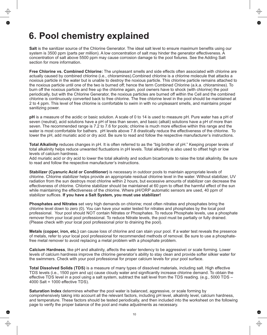## **6. Pool chemistry explained**

**Salt** is the sanitizer source of the Chlorine Generator. The ideal salt level to ensure maximum benefits using our system is 3500 ppm (parts per million). A low concentration of salt may hinder the generator effectiveness. A concentration of salt above 5500 ppm may cause corrosion damage to the pool fixtures. See the Adding Salt section for more information

**Free Chlorine vs. Combined Chlorine:** The unpleasant smells and side effects often associated with chlorine are actually caused by combined chlorine (i.e., chloramines).Combined chlorine is a chlorine molecule that attacks a noxious particle in the water but is unable to destroy the noxious particle. This chlorine particle remains attached to the noxious particle until one of the two is burned off; hence the term Combined Chlorine (a.k.a. chloramines). To burn off the noxious particle and free up the chlorine again, pool owners have to shock (with chlorine) the pool periodically, but with the Chlorine Generator, the noxious particles are burned off within the Cell and the combined chlorine is continuously converted back to free chlorine. The free chlorine level in the pool should be maintained at 2 to 4 ppm. This level of free chlorine is comfortable to swim in with no unpleasant smells, and maintains proper sanitizing power.

**pH** is a measure of the acidic or basic solution. A scale of 0 to 14 is used to measure pH. Pure water has a pH of seven (neutral), acid solutions have a pH of less than seven, and basic (alkali) solutions have a pH of more than seven. The recommended range is 7.2 to 7.6 for pools; chlorine is much more effective within this range and the water is most comfortable for bathers. pH levels above 7.8 drastically reduce the effectiveness of the chlorine. To lower the pH, add muriatic acid or dry acid. Be sure to read and follow the respective manufacturer's instructions.

**Total Alkalinity** reduces changes in pH. It is often referred to as the "big brother of pH." Keeping proper levels of total alkalinity helps reduce unwanted fluctuations in pH levels. Total alkalinity is also used to offset high or low levels of calcium hardness.

Add muriatic acid or dry acid to lower the total alkalinity and sodium bicarbonate to raise the total alkalinity. Be sure to read and follow the respective manufacturer's instructions.

**Stabilizer (Cyanuric Acid or Conditioner)** is necessary in outdoor pools to maintain appropriate levels of chlorine. Chlorine stabilizer helps provide an appropriate residual chlorine level in the water. Without stabilizer, UV radiation from the sun destroys most chlorine within 2 hours, but excessive amounts of stabilizer can decrease the effectiveness of chlorine. Chlorine stabilizer should be maintained at 60 ppm to offset the harmful effect of the sun while maintaining the effectiveness of the chlorine. Where pH/ORP automatic sensors are used, 40 ppm of stabilizer suffices. **If you have a Salt System, you must use stabilizer!**

**Phosphates and Nitrates** set very high demands on chlorine; most often nitrates and phosphates bring the chlorine level down to zero (0). You can have your water tested for nitrates and phosphates by the local pool professional. Your pool should NOT contain Nitrates or Phosphates. To reduce Phosphate levels, use a phosphate remover from your local pool professional. To reduce Nitrate levels, the pool must be partially or fully drained. (Please check with your local pool professional prior to draining the pool).

**Metals (copper, iron, etc.)** can cause loss of chlorine and can stain your pool. If a water test reveals the presence of metals, refer to your local pool professional for recommended methods of removal. Be sure to use a phosphatefree metal remover to avoid replacing a metal problem with a phosphate problem.

**Calcium Hardness**, like pH and alkalinity, affects the water tendency to be aggressive\ or scale forming. Lower levels of calcium hardness improve the chlorine generator's ability to stay clean and provide softer silkier water for the swimmers. Check with your pool professional for proper calcium levels for your pool surface.

**Total Dissolved Solids (TDS)** is a measure of many types of dissolved materials, including salt. High effective TDS levels (i.e., 1500 ppm and up) cause cloudy water and significantly increase chlorine demand. To obtain the effective TDS level in a pool using a salt system, subtract the salt level from the TDS reading. (e.g., 5000 TDS – 4000 Salt = 1000 effective TDS).

**Saturation Index** determines whether the pool water is balanced, aggressive, or scale forming by comprehensively taking into account all the relevant factors, including pH level, alkalinity level, calcium hardness, and temperature. These factors should be tested periodically, and then included into the worksheet on the following page to verify the proper balance of the pool and make adjustments as necessary.